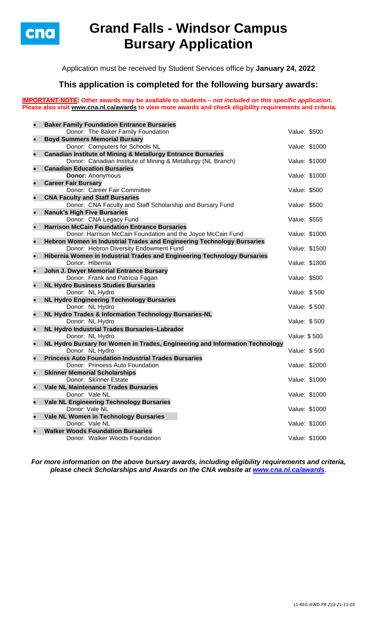

# **Grand Falls - Windsor Campus Bursary Application**

Application must be received by Student Services office by **January 24, 2022**

## **This application is completed for the following bursary awards:**

**IMPORTANT NOTE: Other awards may be available to students –** *not included on this specific application***. Please also visit [www.cna.nl.ca/awards](http://www.cna.nl.ca/awards) to view more awards and check eligibility requirements and criteria.**

|           | <b>Baker Family Foundation Entrance Bursaries</b>                            |               |               |
|-----------|------------------------------------------------------------------------------|---------------|---------------|
|           | Donor: The Baker Family Foundation                                           | Value: \$500  |               |
| $\bullet$ | <b>Boyd Summers Memorial Bursary</b>                                         |               |               |
|           | Donor: Computers for Schools NL                                              | Value: \$1000 |               |
| $\bullet$ | <b>Canadian Institute of Mining &amp; Metallurgy Entrance Bursaries</b>      |               |               |
|           | Donor: Canadian Institute of Mining & Metallurgy (NL Branch)                 |               | Value: \$1000 |
| $\bullet$ | <b>Canadian Education Bursaries</b>                                          |               |               |
|           | <b>Donor: Anonymous</b>                                                      | Value: \$1000 |               |
|           | <b>Career Fair Bursary</b><br>Donor: Career Fair Committee                   | Value: \$500  |               |
| $\bullet$ | <b>CNA Faculty and Staff Bursaries</b>                                       |               |               |
|           | Donor: CNA Faculty and Staff Scholarship and Bursary Fund                    | Value: \$500  |               |
| $\bullet$ | <b>Nanuk's High Five Bursaries</b>                                           |               |               |
|           | Donor: CNA Legacy Fund                                                       | Value: \$555  |               |
| $\bullet$ | <b>Harrison McCain Foundation Entrance Bursaries</b>                         |               |               |
|           | Donor: Harrison McCain Foundation and the Joyce McCain Fund                  | Value: \$1000 |               |
|           | Hebron Women in Industrial Trades and Engineering Technology Bursaries       |               |               |
|           | Donor: Hebron Diversity Endowment Fund                                       | Value: \$1500 |               |
|           | Hibernia Women in Industrial Trades and Engineering Technology Bursaries     |               |               |
|           | Donor: Hibernia                                                              | Value: \$1800 |               |
| $\bullet$ | John J. Dwyer Memorial Entrance Bursary                                      |               |               |
|           | Donor: Frank and Patricia Fagan                                              | Value: \$500  |               |
| $\bullet$ | <b>NL Hydro Business Studies Bursaries</b>                                   |               |               |
|           | Donor: NL Hydro<br><b>NL Hydro Engineering Technology Bursaries</b>          | Value: \$500  |               |
|           | Donor: NL Hydro                                                              | Value: \$500  |               |
| $\bullet$ | NL Hydro Trades & Information Technology Bursaries-NL                        |               |               |
|           | Donor: NL Hydro                                                              | Value: \$500  |               |
| $\bullet$ | NL Hydro Industrial Trades Bursaries-Labrador                                |               |               |
|           | Donor: NL Hydro                                                              | Value: \$500  |               |
| $\bullet$ | NL Hydro Bursary for Women in Trades, Engineering and Information Technology |               |               |
|           | Donor: NL Hydro                                                              | Value: \$500  |               |
| $\bullet$ | <b>Princess Auto Foundation Industrial Trades Bursaries</b>                  |               |               |
|           | Donor: Princess Auto Foundation                                              | Value: \$2000 |               |
|           | <b>Skinner Memorial Scholarships</b>                                         |               |               |
|           | Donor: Skinner Estate                                                        | Value: \$1000 |               |
|           | <b>Vale NL Maintenance Trades Bursaries</b>                                  | Value: \$1000 |               |
|           | Donor: Vale NL<br><b>Vale NL Engineering Technology Bursaries</b>            |               |               |
|           | Donor: Vale NL                                                               |               | Value: \$1000 |
| $\bullet$ | Vale NL Women in Technology Bursaries                                        |               |               |
|           | Donor: Vale NL                                                               | Value: \$1000 |               |
|           | <b>Walker Woods Foundation Bursaries</b>                                     |               |               |
|           | Donor: Walker Woods Foundation                                               | Value: \$1000 |               |
|           |                                                                              |               |               |

*For more information on the above bursary awards, including eligibility requirements and criteria, please check Scholarships and Awards on the CNA website at [www.cna.nl.ca/awards](http://www.cna.nl.ca/awards).*